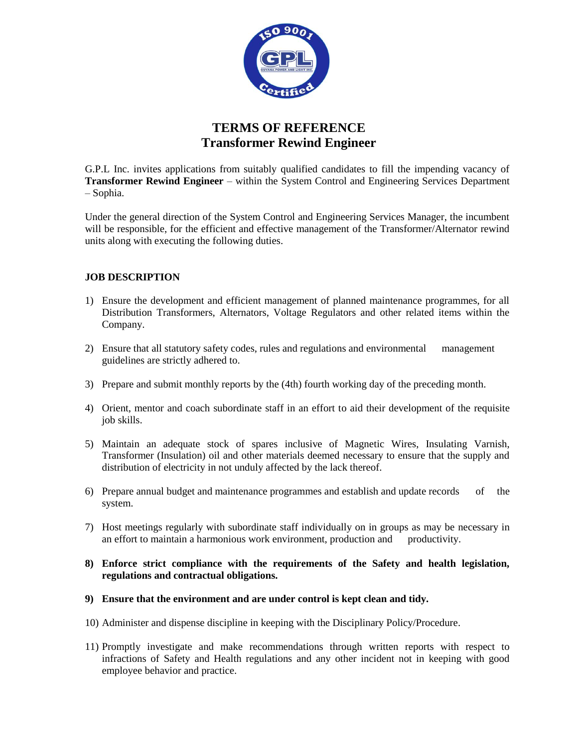

# **TERMS OF REFERENCE Transformer Rewind Engineer**

G.P.L Inc. invites applications from suitably qualified candidates to fill the impending vacancy of **Transformer Rewind Engineer** – within the System Control and Engineering Services Department – Sophia.

Under the general direction of the System Control and Engineering Services Manager, the incumbent will be responsible, for the efficient and effective management of the Transformer/Alternator rewind units along with executing the following duties.

## **JOB DESCRIPTION**

- 1) Ensure the development and efficient management of planned maintenance programmes, for all Distribution Transformers, Alternators, Voltage Regulators and other related items within the Company.
- 2) Ensure that all statutory safety codes, rules and regulations and environmental management guidelines are strictly adhered to.
- 3) Prepare and submit monthly reports by the (4th) fourth working day of the preceding month.
- 4) Orient, mentor and coach subordinate staff in an effort to aid their development of the requisite job skills.
- 5) Maintain an adequate stock of spares inclusive of Magnetic Wires, Insulating Varnish, Transformer (Insulation) oil and other materials deemed necessary to ensure that the supply and distribution of electricity in not unduly affected by the lack thereof.
- 6) Prepare annual budget and maintenance programmes and establish and update records of the system.
- 7) Host meetings regularly with subordinate staff individually on in groups as may be necessary in an effort to maintain a harmonious work environment, production and productivity.
- **8) Enforce strict compliance with the requirements of the Safety and health legislation, regulations and contractual obligations.**
- **9) Ensure that the environment and are under control is kept clean and tidy.**
- 10) Administer and dispense discipline in keeping with the Disciplinary Policy/Procedure.
- 11) Promptly investigate and make recommendations through written reports with respect to infractions of Safety and Health regulations and any other incident not in keeping with good employee behavior and practice.